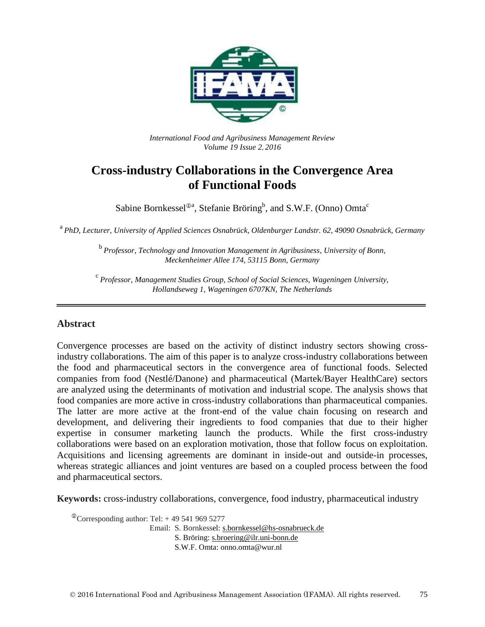

*International Food and Agribusiness Management Review Volume 19 Issue 2*, *2016*

# **Cross-industry Collaborations in the Convergence Area of Functional Foods**

Sabine Bornkessel<sup> $\mathbb{O}^{\mathfrak{a}}$ , Stefanie Bröring<sup>b</sup>, and S.W.F. (Onno) Omta<sup>c</sup></sup>

a *PhD, Lecturer, University of Applied Sciences Osnabrück, Oldenburger Landstr. 62, 49090 Osnabrück, Germany*

<sup>b</sup> Professor, Technology and Innovation Management in Agribusiness, University of Bonn, *Meckenheimer Allee 174, 53115 Bonn, Germany*

c *Professor, Management Studies Group, School of Social Sciences, Wageningen University, Hollandseweg 1, Wageningen 6707KN, The Netherlands*

#### **Abstract**

Convergence processes are based on the activity of distinct industry sectors showing crossindustry collaborations. The aim of this paper is to analyze cross-industry collaborations between the food and pharmaceutical sectors in the convergence area of functional foods. Selected companies from food (Nestlé/Danone) and pharmaceutical (Martek/Bayer HealthCare) sectors are analyzed using the determinants of motivation and industrial scope. The analysis shows that food companies are more active in cross-industry collaborations than pharmaceutical companies. The latter are more active at the front-end of the value chain focusing on research and development, and delivering their ingredients to food companies that due to their higher expertise in consumer marketing launch the products. While the first cross-industry collaborations were based on an exploration motivation, those that follow focus on exploitation. Acquisitions and licensing agreements are dominant in inside-out and outside-in processes, whereas strategic alliances and joint ventures are based on a coupled process between the food and pharmaceutical sectors.

**Keywords:** cross-industry collaborations, convergence, food industry, pharmaceutical industry

 $\textcirc{}$ Corresponding author: Tel: +49 541 969 5277

Email: S. Bornkessel: [s.bornkessel@hs-osnabrueck.de](mailto:s.bornkessel@hs-osnabrueck.de)

S. Bröring: [s.broering@ilr.uni-bonn.de](mailto:s.broering@ilr.uni-bonn.de)

S.W.F. Omta: onno.omta@wur.nl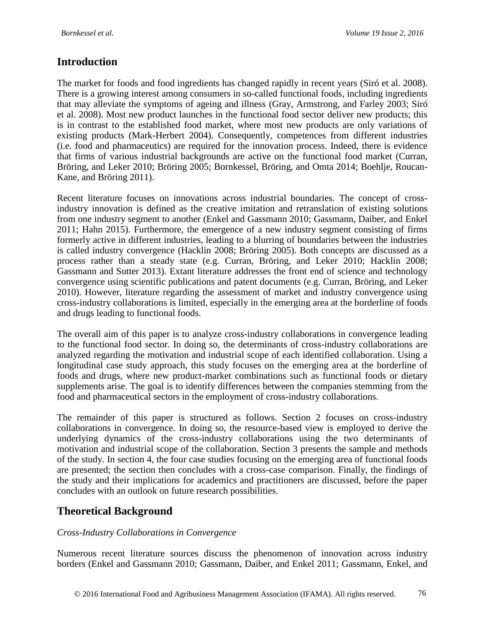### **Introduction**

The market for foods and food ingredients has changed rapidly in recent years [\(Siró et al. 2008\)](#page-21-0). There is a growing interest among consumers in so-called functional foods, including ingredients that may alleviate the symptoms of ageing and illness [\(Gray, Armstrong, and Farley 2003;](#page-19-0) [Siró](#page-21-0)  [et al. 2008\)](#page-21-0). Most new product launches in the functional food sector deliver new products; this is in contrast to the established food market, where most new products are only variations of existing products [\(Mark-Herbert 2004\)](#page-20-0). Consequently, competences from different industries (i.e. food and pharmaceutics) are required for the innovation process. Indeed, there is evidence that firms of various industrial backgrounds are active on the functional food market [\(Curran,](#page-18-0)  [Bröring, and Leker 2010;](#page-18-0) [Bröring 2005;](#page-18-1) [Bornkessel, Bröring, and Omta 2014;](#page-18-2) [Boehlje, Roucan-](#page-18-3)[Kane, and Bröring 2011\)](#page-18-3).

Recent literature focuses on innovations across industrial boundaries. The concept of crossindustry innovation is defined as the creative imitation and retranslation of existing solutions from one industry segment to another [\(Enkel and Gassmann 2010;](#page-19-1) [Gassmann, Daiber, and Enkel](#page-19-2)  [2011;](#page-19-2) [Hahn 2015\)](#page-19-3). Furthermore, the emergence of a new industry segment consisting of firms formerly active in different industries, leading to a blurring of boundaries between the industries is called industry convergence [\(Hacklin 2008;](#page-19-4) [Bröring 2005\)](#page-18-1). Both concepts are discussed as a process rather than a steady state (e.g. [Curran, Bröring, and Leker 2010;](#page-18-0) [Hacklin 2008;](#page-19-4) [Gassmann and Sutter 2013\)](#page-19-5). Extant literature addresses the front end of science and technology convergence using scientific publications and patent documents [\(e.g. Curran, Bröring, and Leker](#page-18-0)  [2010\)](#page-18-0). However, literature regarding the assessment of market and industry convergence using cross-industry collaborations is limited, especially in the emerging area at the borderline of foods and drugs leading to functional foods.

The overall aim of this paper is to analyze cross-industry collaborations in convergence leading to the functional food sector. In doing so, the determinants of cross-industry collaborations are analyzed regarding the motivation and industrial scope of each identified collaboration. Using a longitudinal case study approach, this study focuses on the emerging area at the borderline of foods and drugs, where new product-market combinations such as functional foods or dietary supplements arise. The goal is to identify differences between the companies stemming from the food and pharmaceutical sectors in the employment of cross-industry collaborations.

The remainder of this paper is structured as follows. Section 2 focuses on cross-industry collaborations in convergence. In doing so, the resource-based view is employed to derive the underlying dynamics of the cross-industry collaborations using the two determinants of motivation and industrial scope of the collaboration. Section 3 presents the sample and methods of the study. In section 4, the four case studies focusing on the emerging area of functional foods are presented; the section then concludes with a cross-case comparison. Finally, the findings of the study and their implications for academics and practitioners are discussed, before the paper concludes with an outlook on future research possibilities.

## **Theoretical Background**

#### *Cross-Industry Collaborations in Convergence*

Numerous recent literature sources discuss the phenomenon of innovation across industry borders [\(Enkel and Gassmann 2010;](#page-19-1) [Gassmann, Daiber, and Enkel 2011;](#page-19-2) [Gassmann, Enkel, and](#page-19-6)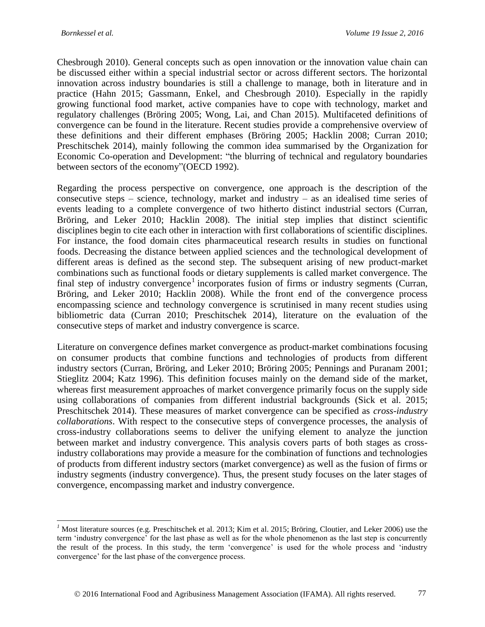$\overline{a}$ 

[Chesbrough 2010\)](#page-19-6). General concepts such as open innovation or the innovation value chain can be discussed either within a special industrial sector or across different sectors. The horizontal innovation across industry boundaries is still a challenge to manage, both in literature and in practice [\(Hahn 2015;](#page-19-3) [Gassmann, Enkel, and Chesbrough 2010\)](#page-19-6). Especially in the rapidly growing functional food market, active companies have to cope with technology, market and regulatory challenges [\(Bröring 2005;](#page-18-1) [Wong, Lai, and Chan 2015\)](#page-21-1). Multifaceted definitions of convergence can be found in the literature. Recent studies provide a comprehensive overview of these definitions and their different emphases [\(Bröring 2005;](#page-18-1) [Hacklin 2008;](#page-19-4) [Curran 2010;](#page-18-4) [Preschitschek 2014\)](#page-21-2), mainly following the common idea summarised by the Organization for Economic Co-operation and Development: "the blurring of technical and regulatory boundaries between sectors of the economy"[\(OECD 1992\)](#page-20-1).

Regarding the process perspective on convergence, one approach is the description of the consecutive steps – science, technology, market and industry – as an idealised time series of events leading to a complete convergence of two hitherto distinct industrial sectors [\(Curran,](#page-18-0)  [Bröring, and Leker 2010;](#page-18-0) [Hacklin 2008\)](#page-19-4). The initial step implies that distinct scientific disciplines begin to cite each other in interaction with first collaborations of scientific disciplines. For instance, the food domain cites pharmaceutical research results in studies on functional foods. Decreasing the distance between applied sciences and the technological development of different areas is defined as the second step. The subsequent arising of new product-market combinations such as functional foods or dietary supplements is called market convergence. The final step of industry convergence<sup>1</sup> incorporates fusion of firms or industry segments (Curran, [Bröring, and Leker 2010;](#page-18-0) [Hacklin 2008\)](#page-19-4). While the front end of the convergence process encompassing science and technology convergence is scrutinised in many recent studies using bibliometric data [\(Curran 2010;](#page-18-4) [Preschitschek 2014\)](#page-21-2), literature on the evaluation of the consecutive steps of market and industry convergence is scarce.

Literature on convergence defines market convergence as product-market combinations focusing on consumer products that combine functions and technologies of products from different industry sectors [\(Curran, Bröring, and Leker 2010;](#page-18-0) [Bröring 2005;](#page-18-1) [Pennings and Puranam 2001;](#page-21-3) [Stieglitz 2004;](#page-21-4) [Katz 1996\)](#page-20-2). This definition focuses mainly on the demand side of the market, whereas first measurement approaches of market convergence primarily focus on the supply side using collaborations of companies from different industrial backgrounds [\(Sick et al. 2015;](#page-21-5) [Preschitschek 2014\)](#page-21-2). These measures of market convergence can be specified as *cross-industry collaborations*. With respect to the consecutive steps of convergence processes, the analysis of cross-industry collaborations seems to deliver the unifying element to analyze the junction between market and industry convergence. This analysis covers parts of both stages as crossindustry collaborations may provide a measure for the combination of functions and technologies of products from different industry sectors (market convergence) as well as the fusion of firms or industry segments (industry convergence). Thus, the present study focuses on the later stages of convergence, encompassing market and industry convergence.

<sup>&</sup>lt;sup>1</sup> Most literature sources (e.g. [Preschitschek et al. 2013;](#page-21-6) [Kim et al. 2015;](#page-20-3) [Bröring, Cloutier, and Leker 2006\)](#page-18-5) use the term 'industry convergence' for the last phase as well as for the whole phenomenon as the last step is concurrently the result of the process. In this study, the term 'convergence' is used for the whole process and 'industry convergence' for the last phase of the convergence process.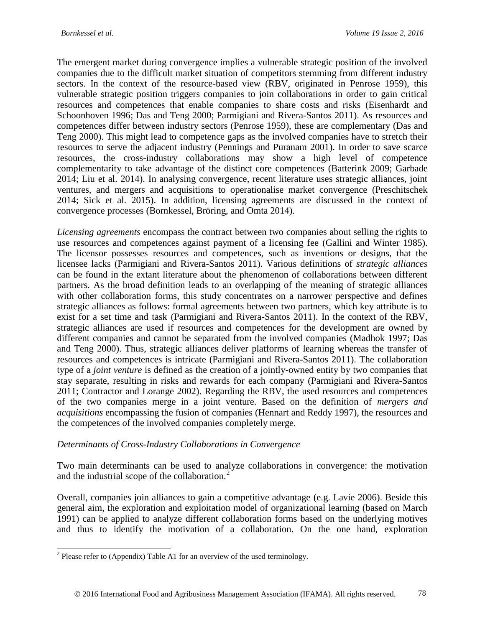The emergent market during convergence implies a vulnerable strategic position of the involved companies due to the difficult market situation of competitors stemming from different industry sectors. In the context of the resource-based view [\(RBV, originated in Penrose 1959\)](#page-21-7), this vulnerable strategic position triggers companies to join collaborations in order to gain critical resources and competences that enable companies to share costs and risks [\(Eisenhardt and](#page-19-7)  [Schoonhoven 1996;](#page-19-7) [Das and Teng 2000;](#page-19-8) [Parmigiani and Rivera-Santos 2011\)](#page-21-8). As resources and competences differ between industry sectors [\(Penrose 1959\)](#page-21-7), these are complementary [\(Das and](#page-19-8)  [Teng 2000\)](#page-19-8). This might lead to competence gaps as the involved companies have to stretch their resources to serve the adjacent industry [\(Pennings and Puranam 2001\)](#page-21-3). In order to save scarce resources, the cross-industry collaborations may show a high level of competence complementarity to take advantage of the distinct core competences [\(Batterink 2009;](#page-18-6) [Garbade](#page-19-9)  [2014;](#page-19-9) [Liu et al. 2014\)](#page-20-4). In analysing convergence, recent literature uses strategic alliances, joint ventures, and mergers and acquisitions to operationalise market convergence [\(Preschitschek](#page-21-2)  [2014;](#page-21-2) [Sick et al. 2015\)](#page-21-5). In addition, licensing agreements are discussed in the context of convergence processes [\(Bornkessel, Bröring, and Omta 2014\)](#page-18-2).

*Licensing agreements* encompass the contract between two companies about selling the rights to use resources and competences against payment of a licensing fee [\(Gallini and Winter 1985\)](#page-19-10). The licensor possesses resources and competences, such as inventions or designs, that the licensee lacks [\(Parmigiani and Rivera-Santos 2011\)](#page-21-8). Various definitions of *strategic alliances* can be found in the extant literature about the phenomenon of collaborations between different partners. As the broad definition leads to an overlapping of the meaning of strategic alliances with other collaboration forms, this study concentrates on a narrower perspective and defines strategic alliances as follows: formal agreements between two partners, which key attribute is to exist for a set time and task [\(Parmigiani and Rivera-Santos 2011\)](#page-21-8). In the context of the RBV, strategic alliances are used if resources and competences for the development are owned by different companies and cannot be separated from the involved companies [\(Madhok 1997;](#page-20-5) [Das](#page-19-8)  [and Teng 2000\)](#page-19-8). Thus, strategic alliances deliver platforms of learning whereas the transfer of resources and competences is intricate [\(Parmigiani and Rivera-Santos 2011\)](#page-21-8). The collaboration type of a *joint venture* is defined as the creation of a jointly-owned entity by two companies that stay separate, resulting in risks and rewards for each company [\(Parmigiani and Rivera-Santos](#page-21-8)  [2011;](#page-21-8) [Contractor and Lorange 2002\)](#page-18-7). Regarding the RBV, the used resources and competences of the two companies merge in a joint venture. Based on the definition of *mergers and acquisitions* encompassing the fusion of companies [\(Hennart and Reddy 1997\)](#page-20-6), the resources and the competences of the involved companies completely merge.

#### *Determinants of Cross-Industry Collaborations in Convergence*

Two main determinants can be used to analyze collaborations in convergence: the motivation and the industrial scope of the collaboration.<sup>2</sup>

Overall, companies join alliances to gain a competitive advantage [\(e.g. Lavie 2006\)](#page-20-7). Beside this general aim, the exploration and exploitation model of organizational learning [\(based on March](#page-20-8)  [1991\)](#page-20-8) can be applied to analyze different collaboration forms based on the underlying motives and thus to identify the motivation of a collaboration. On the one hand, exploration

<sup>&</sup>lt;sup>2</sup> Please refer to (Appendix) [Table](#page-22-0) A1 for an overview of the used terminology.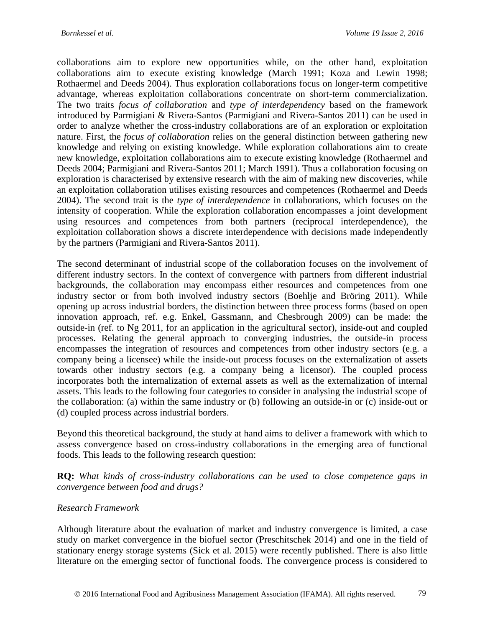collaborations aim to explore new opportunities while, on the other hand, exploitation collaborations aim to execute existing knowledge [\(March 1991;](#page-20-8) [Koza and Lewin 1998;](#page-20-9) [Rothaermel and Deeds 2004\)](#page-21-9). Thus exploration collaborations focus on longer-term competitive advantage, whereas exploitation collaborations concentrate on short-term commercialization. The two traits *focus of collaboration* and *type of interdependency* based on the framework introduced by Parmigiani & Rivera-Santos [\(Parmigiani and Rivera-Santos 2011\)](#page-21-8) can be used in order to analyze whether the cross-industry collaborations are of an exploration or exploitation nature. First, the *focus of collaboration* relies on the general distinction between gathering new knowledge and relying on existing knowledge. While exploration collaborations aim to create new knowledge, exploitation collaborations aim to execute existing knowledge [\(Rothaermel and](#page-21-9)  [Deeds 2004;](#page-21-9) [Parmigiani and Rivera-Santos 2011;](#page-21-8) [March 1991\)](#page-20-8). Thus a collaboration focusing on exploration is characterised by extensive research with the aim of making new discoveries, while an exploitation collaboration utilises existing resources and competences [\(Rothaermel and Deeds](#page-21-9)  [2004\)](#page-21-9). The second trait is the *type of interdependence* in collaborations, which focuses on the intensity of cooperation. While the exploration collaboration encompasses a joint development using resources and competences from both partners (reciprocal interdependence), the exploitation collaboration shows a discrete interdependence with decisions made independently by the partners [\(Parmigiani and Rivera-Santos 2011\)](#page-21-8).

The second determinant of industrial scope of the collaboration focuses on the involvement of different industry sectors. In the context of convergence with partners from different industrial backgrounds, the collaboration may encompass either resources and competences from one industry sector or from both involved industry sectors [\(Boehlje and Bröring 2011\)](#page-18-8). While opening up across industrial borders, the distinction between three process forms [\(based on open](#page-19-11)  [innovation approach, ref. e.g. Enkel, Gassmann, and Chesbrough 2009\)](#page-19-11) can be made: the outside-in [\(ref. to Ng 2011, for an application in the agricultural sector\)](#page-20-10), inside-out and coupled processes. Relating the general approach to converging industries, the outside-in process encompasses the integration of resources and competences from other industry sectors (e.g. a company being a licensee) while the inside-out process focuses on the externalization of assets towards other industry sectors (e.g. a company being a licensor). The coupled process incorporates both the internalization of external assets as well as the externalization of internal assets. This leads to the following four categories to consider in analysing the industrial scope of the collaboration: (a) within the same industry or (b) following an outside-in or (c) inside-out or (d) coupled process across industrial borders.

Beyond this theoretical background, the study at hand aims to deliver a framework with which to assess convergence based on cross-industry collaborations in the emerging area of functional foods. This leads to the following research question:

**RQ:** *What kinds of cross-industry collaborations can be used to close competence gaps in convergence between food and drugs?*

#### *Research Framework*

Although literature about the evaluation of market and industry convergence is limited, a case study on market convergence in the biofuel sector [\(Preschitschek 2014\)](#page-21-2) and one in the field of stationary energy storage systems [\(Sick et al. 2015\)](#page-21-5) were recently published. There is also little literature on the emerging sector of functional foods. The convergence process is considered to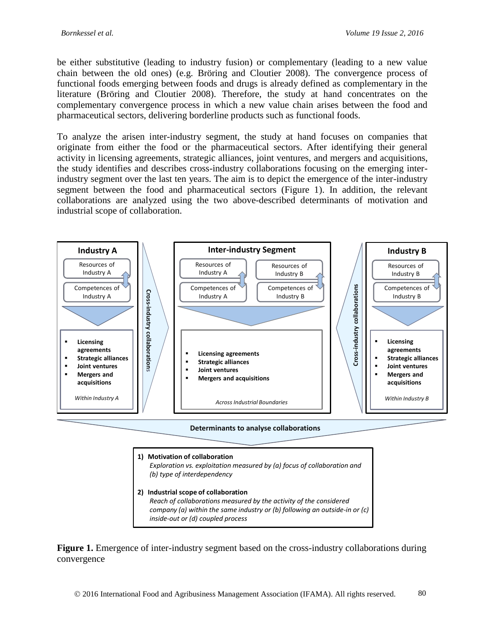be either substitutive (leading to industry fusion) or complementary (leading to a new value chain between the old ones) [\(e.g. Bröring and Cloutier 2008\)](#page-18-9). The convergence process of functional foods emerging between foods and drugs is already defined as complementary in the literature [\(Bröring and Cloutier 2008\)](#page-18-9). Therefore, the study at hand concentrates on the complementary convergence process in which a new value chain arises between the food and pharmaceutical sectors, delivering borderline products such as functional foods.

To analyze the arisen inter-industry segment, the study at hand focuses on companies that originate from either the food or the pharmaceutical sectors. After identifying their general activity in licensing agreements, strategic alliances, joint ventures, and mergers and acquisitions, the study identifies and describes cross-industry collaborations focusing on the emerging interindustry segment over the last ten years. The aim is to depict the emergence of the inter-industry segment between the food and pharmaceutical sectors (Figure 1). In addition, the relevant collaborations are analyzed using the two above-described determinants of motivation and industrial scope of collaboration.



**Determinants to analyse collaborations**



Figure 1. Emergence of inter-industry segment based on the cross-industry collaborations during convergence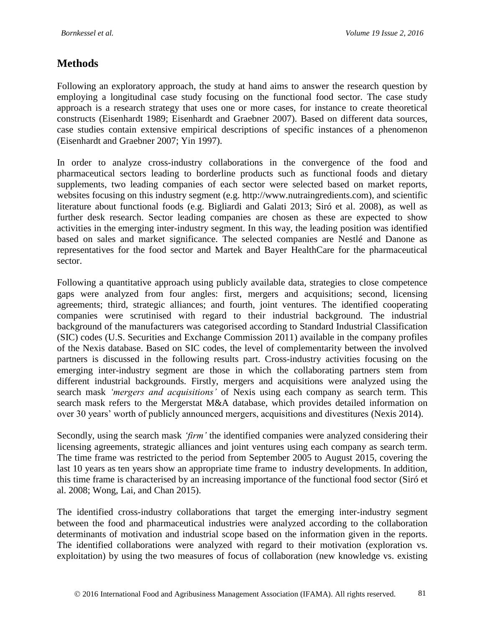## **Methods**

Following an exploratory approach, the study at hand aims to answer the research question by employing a longitudinal case study focusing on the functional food sector. The case study approach is a research strategy that uses one or more cases, for instance to create theoretical constructs [\(Eisenhardt 1989;](#page-19-12) [Eisenhardt and Graebner 2007\)](#page-19-13). Based on different data sources, case studies contain extensive empirical descriptions of specific instances of a phenomenon [\(Eisenhardt and Graebner 2007;](#page-19-13) [Yin 1997\)](#page-21-10).

In order to analyze cross-industry collaborations in the convergence of the food and pharmaceutical sectors leading to borderline products such as functional foods and dietary supplements, two leading companies of each sector were selected based on market reports, websites focusing on this industry segment (e.g. http://www.nutraingredients.com), and scientific literature about functional foods (e.g. [Bigliardi and Galati 2013;](#page-18-10) [Siró et al. 2008\)](#page-21-0), as well as further desk research. Sector leading companies are chosen as these are expected to show activities in the emerging inter-industry segment. In this way, the leading position was identified based on sales and market significance. The selected companies are Nestlé and Danone as representatives for the food sector and Martek and Bayer HealthCare for the pharmaceutical sector.

Following a quantitative approach using publicly available data, strategies to close competence gaps were analyzed from four angles: first, mergers and acquisitions; second, licensing agreements; third, strategic alliances; and fourth, joint ventures. The identified cooperating companies were scrutinised with regard to their industrial background. The industrial background of the manufacturers was categorised according to Standard Industrial Classification (SIC) codes [\(U.S. Securities and Exchange Commission 2011\)](#page-21-11) available in the company profiles of the Nexis database. Based on SIC codes, the level of complementarity between the involved partners is discussed in the following results part. Cross-industry activities focusing on the emerging inter-industry segment are those in which the collaborating partners stem from different industrial backgrounds. Firstly, mergers and acquisitions were analyzed using the search mask *'mergers and acquisitions'* of Nexis using each company as search term. This search mask refers to the Mergerstat M&A database, which provides detailed information on over 30 years' worth of publicly announced mergers, acquisitions and divestitures [\(Nexis 2014\)](#page-20-11).

Secondly, using the search mask *'firm'* the identified companies were analyzed considering their licensing agreements, strategic alliances and joint ventures using each company as search term. The time frame was restricted to the period from September 2005 to August 2015, covering the last 10 years as ten years show an appropriate time frame to industry developments. In addition, this time frame is characterised by an increasing importance of the functional food sector [\(Siró et](#page-21-0)  [al. 2008;](#page-21-0) [Wong, Lai, and Chan 2015\)](#page-21-1).

The identified cross-industry collaborations that target the emerging inter-industry segment between the food and pharmaceutical industries were analyzed according to the collaboration determinants of motivation and industrial scope based on the information given in the reports. The identified collaborations were analyzed with regard to their motivation (exploration vs. exploitation) by using the two measures of focus of collaboration (new knowledge vs. existing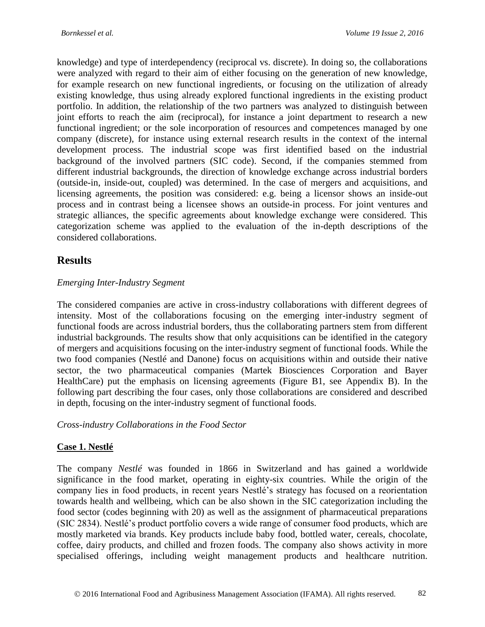knowledge) and type of interdependency (reciprocal vs. discrete). In doing so, the collaborations were analyzed with regard to their aim of either focusing on the generation of new knowledge, for example research on new functional ingredients, or focusing on the utilization of already existing knowledge, thus using already explored functional ingredients in the existing product portfolio. In addition, the relationship of the two partners was analyzed to distinguish between joint efforts to reach the aim (reciprocal), for instance a joint department to research a new functional ingredient; or the sole incorporation of resources and competences managed by one company (discrete), for instance using external research results in the context of the internal development process. The industrial scope was first identified based on the industrial background of the involved partners (SIC code). Second, if the companies stemmed from different industrial backgrounds, the direction of knowledge exchange across industrial borders (outside-in, inside-out, coupled) was determined. In the case of mergers and acquisitions, and licensing agreements, the position was considered: e.g. being a licensor shows an inside-out process and in contrast being a licensee shows an outside-in process. For joint ventures and strategic alliances, the specific agreements about knowledge exchange were considered. This categorization scheme was applied to the evaluation of the in-depth descriptions of the considered collaborations.

## **Results**

### *Emerging Inter-Industry Segment*

The considered companies are active in cross-industry collaborations with different degrees of intensity. Most of the collaborations focusing on the emerging inter-industry segment of functional foods are across industrial borders, thus the collaborating partners stem from different industrial backgrounds. The results show that only acquisitions can be identified in the category of mergers and acquisitions focusing on the inter-industry segment of functional foods. While the two food companies (Nestlé and Danone) focus on acquisitions within and outside their native sector, the two pharmaceutical companies (Martek Biosciences Corporation and Bayer HealthCare) put the emphasis on licensing agreements [\(Figure B1,](#page-23-0) see Appendix B). In the following part describing the four cases, only those collaborations are considered and described in depth, focusing on the inter-industry segment of functional foods.

*Cross-industry Collaborations in the Food Sector*

#### **Case 1. Nestlé**

The company *Nestlé* was founded in 1866 in Switzerland and has gained a worldwide significance in the food market, operating in eighty-six countries. While the origin of the company lies in food products, in recent years Nestlé's strategy has focused on a reorientation towards health and wellbeing, which can be also shown in the SIC categorization including the food sector (codes beginning with 20) as well as the assignment of pharmaceutical preparations (SIC 2834). Nestlé's product portfolio covers a wide range of consumer food products, which are mostly marketed via brands. Key products include baby food, bottled water, cereals, chocolate, coffee, dairy products, and chilled and frozen foods. The company also shows activity in more specialised offerings, including weight management products and healthcare nutrition.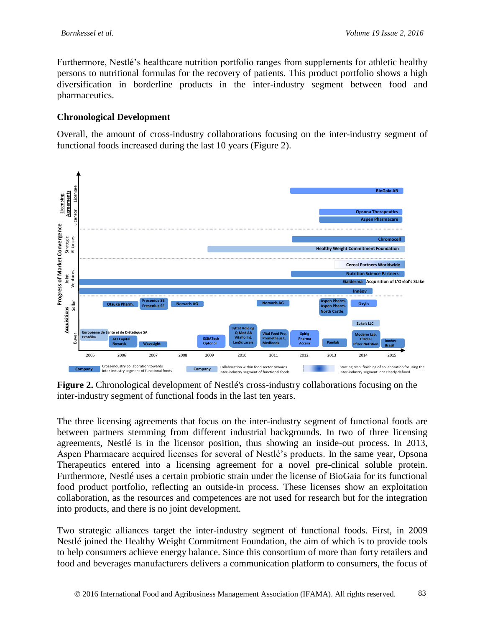Furthermore, Nestlé's healthcare nutrition portfolio ranges from supplements for athletic healthy persons to nutritional formulas for the recovery of patients. This product portfolio shows a high diversification in borderline products in the inter-industry segment between food and pharmaceutics.

#### **Chronological Development**

Overall, the amount of cross-industry collaborations focusing on the inter-industry segment of functional foods increased during the last 10 years (Figure 2).



**Figure 2.** Chronological development of Nestlé's cross-industry collaborations focusing on the inter-industry segment of functional foods in the last ten years.

The three licensing agreements that focus on the inter-industry segment of functional foods are between partners stemming from different industrial backgrounds. In two of three licensing agreements, Nestlé is in the licensor position, thus showing an inside-out process. In 2013, Aspen Pharmacare acquired licenses for several of Nestlé's products. In the same year, Opsona Therapeutics entered into a licensing agreement for a novel pre-clinical soluble protein. Furthermore, Nestlé uses a certain probiotic strain under the license of BioGaia for its functional food product portfolio, reflecting an outside-in process. These licenses show an exploitation collaboration, as the resources and competences are not used for research but for the integration into products, and there is no joint development.

Two strategic alliances target the inter-industry segment of functional foods. First, in 2009 Nestlé joined the Healthy Weight Commitment Foundation, the aim of which is to provide tools to help consumers achieve energy balance. Since this consortium of more than forty retailers and food and beverages manufacturers delivers a communication platform to consumers, the focus of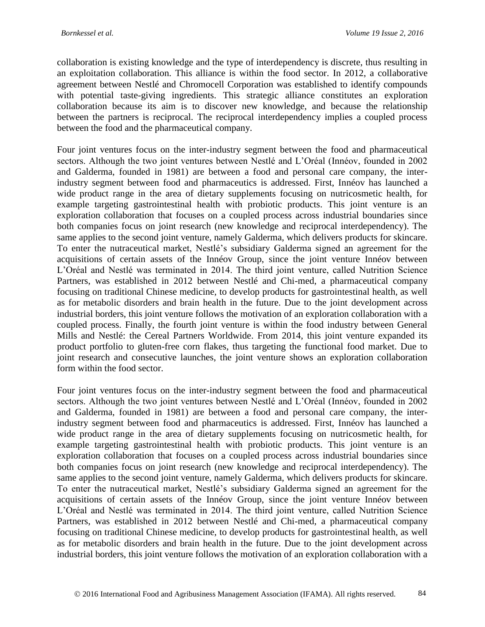collaboration is existing knowledge and the type of interdependency is discrete, thus resulting in an exploitation collaboration. This alliance is within the food sector. In 2012, a collaborative agreement between Nestlé and Chromocell Corporation was established to identify compounds with potential taste-giving ingredients. This strategic alliance constitutes an exploration collaboration because its aim is to discover new knowledge, and because the relationship between the partners is reciprocal. The reciprocal interdependency implies a coupled process between the food and the pharmaceutical company.

Four joint ventures focus on the inter-industry segment between the food and pharmaceutical sectors. Although the two joint ventures between Nestlé and L'Oréal (Innéov, founded in 2002 and Galderma, founded in 1981) are between a food and personal care company, the interindustry segment between food and pharmaceutics is addressed. First, Innéov has launched a wide product range in the area of dietary supplements focusing on nutricosmetic health, for example targeting gastrointestinal health with probiotic products. This joint venture is an exploration collaboration that focuses on a coupled process across industrial boundaries since both companies focus on joint research (new knowledge and reciprocal interdependency). The same applies to the second joint venture, namely Galderma, which delivers products for skincare. To enter the nutraceutical market, Nestlé's subsidiary Galderma signed an agreement for the acquisitions of certain assets of the Innéov Group, since the joint venture Innéov between L'Oréal and Nestlé was terminated in 2014. The third joint venture, called Nutrition Science Partners, was established in 2012 between Nestlé and Chi-med, a pharmaceutical company focusing on traditional Chinese medicine, to develop products for gastrointestinal health, as well as for metabolic disorders and brain health in the future. Due to the joint development across industrial borders, this joint venture follows the motivation of an exploration collaboration with a coupled process. Finally, the fourth joint venture is within the food industry between General Mills and Nestlé: the Cereal Partners Worldwide. From 2014, this joint venture expanded its product portfolio to gluten-free corn flakes, thus targeting the functional food market. Due to joint research and consecutive launches, the joint venture shows an exploration collaboration form within the food sector.

Four joint ventures focus on the inter-industry segment between the food and pharmaceutical sectors. Although the two joint ventures between Nestlé and L'Oréal (Innéov, founded in 2002 and Galderma, founded in 1981) are between a food and personal care company, the interindustry segment between food and pharmaceutics is addressed. First, Innéov has launched a wide product range in the area of dietary supplements focusing on nutricosmetic health, for example targeting gastrointestinal health with probiotic products. This joint venture is an exploration collaboration that focuses on a coupled process across industrial boundaries since both companies focus on joint research (new knowledge and reciprocal interdependency). The same applies to the second joint venture, namely Galderma, which delivers products for skincare. To enter the nutraceutical market, Nestlé's subsidiary Galderma signed an agreement for the acquisitions of certain assets of the Innéov Group, since the joint venture Innéov between L'Oréal and Nestlé was terminated in 2014. The third joint venture, called Nutrition Science Partners, was established in 2012 between Nestlé and Chi-med, a pharmaceutical company focusing on traditional Chinese medicine, to develop products for gastrointestinal health, as well as for metabolic disorders and brain health in the future. Due to the joint development across industrial borders, this joint venture follows the motivation of an exploration collaboration with a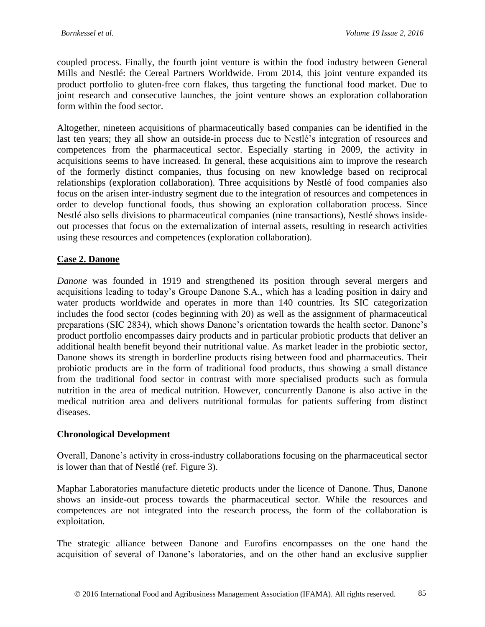coupled process. Finally, the fourth joint venture is within the food industry between General Mills and Nestlé: the Cereal Partners Worldwide. From 2014, this joint venture expanded its product portfolio to gluten-free corn flakes, thus targeting the functional food market. Due to joint research and consecutive launches, the joint venture shows an exploration collaboration form within the food sector.

Altogether, nineteen acquisitions of pharmaceutically based companies can be identified in the last ten years; they all show an outside-in process due to Nestlé's integration of resources and competences from the pharmaceutical sector. Especially starting in 2009, the activity in acquisitions seems to have increased. In general, these acquisitions aim to improve the research of the formerly distinct companies, thus focusing on new knowledge based on reciprocal relationships (exploration collaboration). Three acquisitions by Nestlé of food companies also focus on the arisen inter-industry segment due to the integration of resources and competences in order to develop functional foods, thus showing an exploration collaboration process. Since Nestlé also sells divisions to pharmaceutical companies (nine transactions), Nestlé shows insideout processes that focus on the externalization of internal assets, resulting in research activities using these resources and competences (exploration collaboration).

#### **Case 2. Danone**

*Danone* was founded in 1919 and strengthened its position through several mergers and acquisitions leading to today's Groupe Danone S.A., which has a leading position in dairy and water products worldwide and operates in more than 140 countries. Its SIC categorization includes the food sector (codes beginning with 20) as well as the assignment of pharmaceutical preparations (SIC 2834), which shows Danone's orientation towards the health sector. Danone's product portfolio encompasses dairy products and in particular probiotic products that deliver an additional health benefit beyond their nutritional value. As market leader in the probiotic sector, Danone shows its strength in borderline products rising between food and pharmaceutics. Their probiotic products are in the form of traditional food products, thus showing a small distance from the traditional food sector in contrast with more specialised products such as formula nutrition in the area of medical nutrition. However, concurrently Danone is also active in the medical nutrition area and delivers nutritional formulas for patients suffering from distinct diseases.

#### **Chronological Development**

Overall, Danone's activity in cross-industry collaborations focusing on the pharmaceutical sector is lower than that of Nestlé (ref. Figure 3).

Maphar Laboratories manufacture dietetic products under the licence of Danone. Thus, Danone shows an inside-out process towards the pharmaceutical sector. While the resources and competences are not integrated into the research process, the form of the collaboration is exploitation.

The strategic alliance between Danone and Eurofins encompasses on the one hand the acquisition of several of Danone's laboratories, and on the other hand an exclusive supplier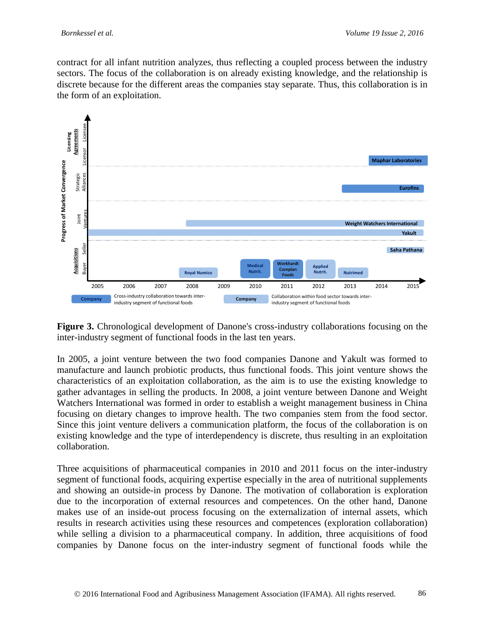contract for all infant nutrition analyzes, thus reflecting a coupled process between the industry sectors. The focus of the collaboration is on already existing knowledge, and the relationship is discrete because for the different areas the companies stay separate. Thus, this collaboration is in the form of an exploitation.



**Figure 3.** Chronological development of Danone's cross-industry collaborations focusing on the inter-industry segment of functional foods in the last ten years.

In 2005, a joint venture between the two food companies Danone and Yakult was formed to manufacture and launch probiotic products, thus functional foods. This joint venture shows the characteristics of an exploitation collaboration, as the aim is to use the existing knowledge to gather advantages in selling the products. In 2008, a joint venture between Danone and Weight Watchers International was formed in order to establish a weight management business in China focusing on dietary changes to improve health. The two companies stem from the food sector. Since this joint venture delivers a communication platform, the focus of the collaboration is on existing knowledge and the type of interdependency is discrete, thus resulting in an exploitation collaboration.

Three acquisitions of pharmaceutical companies in 2010 and 2011 focus on the inter-industry segment of functional foods, acquiring expertise especially in the area of nutritional supplements and showing an outside-in process by Danone. The motivation of collaboration is exploration due to the incorporation of external resources and competences. On the other hand, Danone makes use of an inside-out process focusing on the externalization of internal assets, which results in research activities using these resources and competences (exploration collaboration) while selling a division to a pharmaceutical company. In addition, three acquisitions of food companies by Danone focus on the inter-industry segment of functional foods while the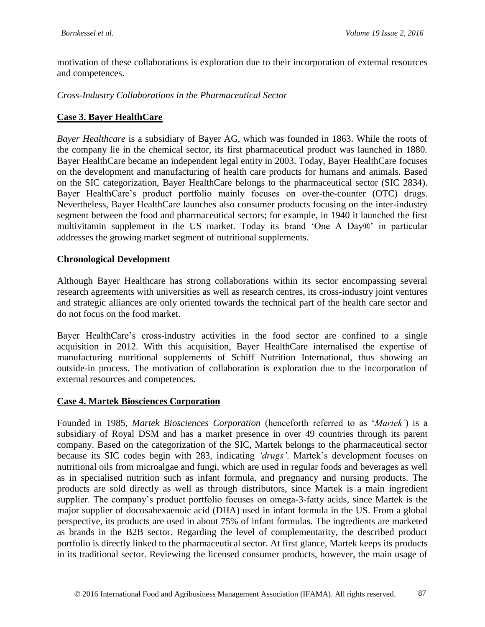motivation of these collaborations is exploration due to their incorporation of external resources and competences.

*Cross-Industry Collaborations in the Pharmaceutical Sector*

#### **Case 3. Bayer HealthCare**

*Bayer Healthcare* is a subsidiary of Bayer AG, which was founded in 1863. While the roots of the company lie in the chemical sector, its first pharmaceutical product was launched in 1880. Bayer HealthCare became an independent legal entity in 2003. Today, Bayer HealthCare focuses on the development and manufacturing of health care products for humans and animals. Based on the SIC categorization, Bayer HealthCare belongs to the pharmaceutical sector (SIC 2834). Bayer HealthCare's product portfolio mainly focuses on over-the-counter (OTC) drugs. Nevertheless, Bayer HealthCare launches also consumer products focusing on the inter-industry segment between the food and pharmaceutical sectors; for example, in 1940 it launched the first multivitamin supplement in the US market. Today its brand 'One A Day®' in particular addresses the growing market segment of nutritional supplements.

#### **Chronological Development**

Although Bayer Healthcare has strong collaborations within its sector encompassing several research agreements with universities as well as research centres, its cross-industry joint ventures and strategic alliances are only oriented towards the technical part of the health care sector and do not focus on the food market.

Bayer HealthCare's cross-industry activities in the food sector are confined to a single acquisition in 2012. With this acquisition, Bayer HealthCare internalised the expertise of manufacturing nutritional supplements of Schiff Nutrition International, thus showing an outside-in process. The motivation of collaboration is exploration due to the incorporation of external resources and competences.

#### **Case 4. Martek Biosciences Corporation**

Founded in 1985, *Martek Biosciences Corporation* (henceforth referred to as '*Martek'*) is a subsidiary of Royal DSM and has a market presence in over 49 countries through its parent company. Based on the categorization of the SIC, Martek belongs to the pharmaceutical sector because its SIC codes begin with 283, indicating *'drugs'*. Martek's development focuses on nutritional oils from microalgae and fungi, which are used in regular foods and beverages as well as in specialised nutrition such as infant formula, and pregnancy and nursing products. The products are sold directly as well as through distributors, since Martek is a main ingredient supplier. The company's product portfolio focuses on omega-3-fatty acids, since Martek is the major supplier of docosahexaenoic acid (DHA) used in infant formula in the US. From a global perspective, its products are used in about 75% of infant formulas. The ingredients are marketed as brands in the B2B sector. Regarding the level of complementarity, the described product portfolio is directly linked to the pharmaceutical sector. At first glance, Martek keeps its products in its traditional sector. Reviewing the licensed consumer products, however, the main usage of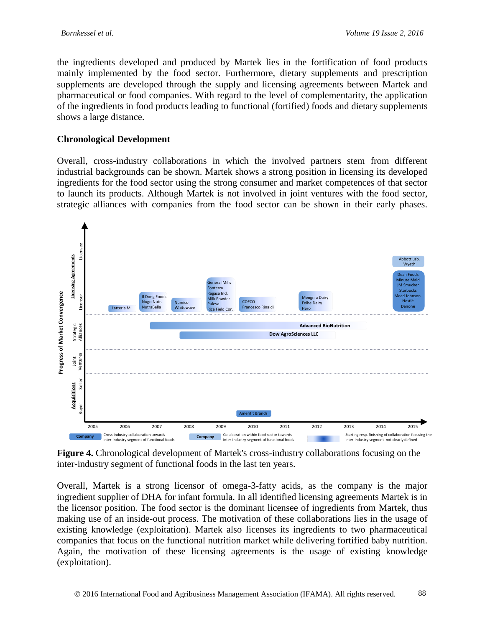the ingredients developed and produced by Martek lies in the fortification of food products mainly implemented by the food sector. Furthermore, dietary supplements and prescription supplements are developed through the supply and licensing agreements between Martek and pharmaceutical or food companies. With regard to the level of complementarity, the application of the ingredients in food products leading to functional (fortified) foods and dietary supplements shows a large distance.

### **Chronological Development**

Overall, cross-industry collaborations in which the involved partners stem from different industrial backgrounds can be shown. Martek shows a strong position in licensing its developed ingredients for the food sector using the strong consumer and market competences of that sector to launch its products. Although Martek is not involved in joint ventures with the food sector, strategic alliances with companies from the food sector can be shown in their early phases.



**Figure 4.** Chronological development of Martek's cross-industry collaborations focusing on the inter-industry segment of functional foods in the last ten years.

Overall, Martek is a strong licensor of omega-3-fatty acids, as the company is the major ingredient supplier of DHA for infant formula. In all identified licensing agreements Martek is in the licensor position. The food sector is the dominant licensee of ingredients from Martek, thus making use of an inside-out process. The motivation of these collaborations lies in the usage of existing knowledge (exploitation). Martek also licenses its ingredients to two pharmaceutical companies that focus on the functional nutrition market while delivering fortified baby nutrition. Again, the motivation of these licensing agreements is the usage of existing knowledge (exploitation).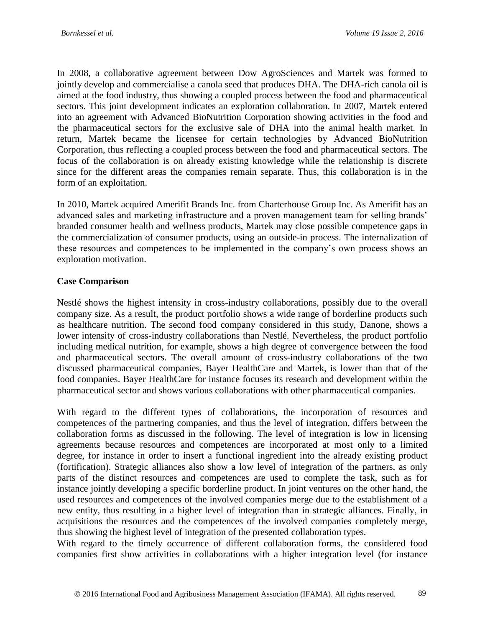In 2008, a collaborative agreement between Dow AgroSciences and Martek was formed to jointly develop and commercialise a canola seed that produces DHA. The DHA-rich canola oil is aimed at the food industry, thus showing a coupled process between the food and pharmaceutical sectors. This joint development indicates an exploration collaboration. In 2007, Martek entered into an agreement with Advanced BioNutrition Corporation showing activities in the food and the pharmaceutical sectors for the exclusive sale of DHA into the animal health market. In return, Martek became the licensee for certain technologies by Advanced BioNutrition Corporation, thus reflecting a coupled process between the food and pharmaceutical sectors. The focus of the collaboration is on already existing knowledge while the relationship is discrete since for the different areas the companies remain separate. Thus, this collaboration is in the form of an exploitation.

In 2010, Martek acquired Amerifit Brands Inc. from Charterhouse Group Inc. As Amerifit has an advanced sales and marketing infrastructure and a proven management team for selling brands' branded consumer health and wellness products, Martek may close possible competence gaps in the commercialization of consumer products, using an outside-in process. The internalization of these resources and competences to be implemented in the company's own process shows an exploration motivation.

#### **Case Comparison**

Nestlé shows the highest intensity in cross-industry collaborations, possibly due to the overall company size. As a result, the product portfolio shows a wide range of borderline products such as healthcare nutrition. The second food company considered in this study, Danone, shows a lower intensity of cross-industry collaborations than Nestlé. Nevertheless, the product portfolio including medical nutrition, for example, shows a high degree of convergence between the food and pharmaceutical sectors. The overall amount of cross-industry collaborations of the two discussed pharmaceutical companies, Bayer HealthCare and Martek, is lower than that of the food companies. Bayer HealthCare for instance focuses its research and development within the pharmaceutical sector and shows various collaborations with other pharmaceutical companies.

With regard to the different types of collaborations, the incorporation of resources and competences of the partnering companies, and thus the level of integration, differs between the collaboration forms as discussed in the following. The level of integration is low in licensing agreements because resources and competences are incorporated at most only to a limited degree, for instance in order to insert a functional ingredient into the already existing product (fortification). Strategic alliances also show a low level of integration of the partners, as only parts of the distinct resources and competences are used to complete the task, such as for instance jointly developing a specific borderline product. In joint ventures on the other hand, the used resources and competences of the involved companies merge due to the establishment of a new entity, thus resulting in a higher level of integration than in strategic alliances. Finally, in acquisitions the resources and the competences of the involved companies completely merge, thus showing the highest level of integration of the presented collaboration types.

With regard to the timely occurrence of different collaboration forms, the considered food companies first show activities in collaborations with a higher integration level (for instance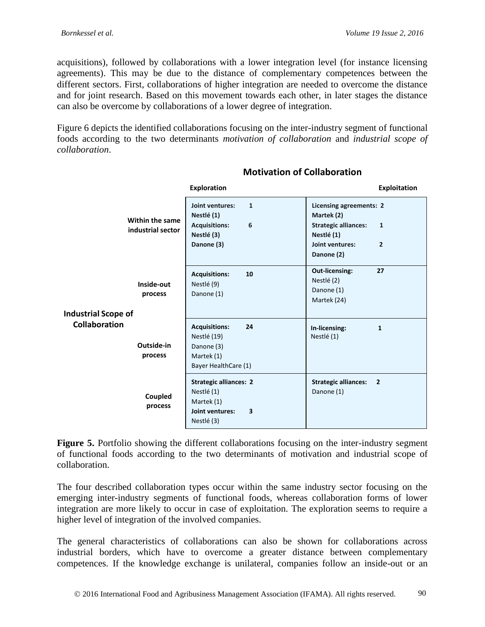acquisitions), followed by collaborations with a lower integration level (for instance licensing agreements). This may be due to the distance of complementary competences between the different sectors. First, collaborations of higher integration are needed to overcome the distance and for joint research. Based on this movement towards each other, in later stages the distance can also be overcome by collaborations of a lower degree of integration.

<span id="page-15-0"></span>[Figure 6](#page-15-0) depicts the identified collaborations focusing on the inter-industry segment of functional foods according to the two determinants *motivation of collaboration* and *industrial scope of collaboration*.

|                                                                                                                            | <b>Exploration</b>                                                                                     | <b>Exploitation</b>                                                                                                                                   |
|----------------------------------------------------------------------------------------------------------------------------|--------------------------------------------------------------------------------------------------------|-------------------------------------------------------------------------------------------------------------------------------------------------------|
| Within the same<br>industrial sector                                                                                       | Joint ventures:<br>$\mathbf{1}$<br>Nestlé (1)<br><b>Acquisitions:</b><br>6<br>Nestlé (3)<br>Danone (3) | Licensing agreements: 2<br>Martek (2)<br><b>Strategic alliances:</b><br>$\mathbf{1}$<br>Nestlé (1)<br>Joint ventures:<br>$\overline{2}$<br>Danone (2) |
| Inside-out<br>process<br><b>Industrial Scope of</b><br><b>Collaboration</b><br>Outside-in<br>process<br>Coupled<br>process | <b>Acquisitions:</b><br>10<br>Nestlé (9)<br>Danone (1)                                                 | 27<br><b>Out-licensing:</b><br>Nestlé (2)<br>Danone (1)<br>Martek (24)                                                                                |
|                                                                                                                            | <b>Acquisitions:</b><br>24<br>Nestlé (19)<br>Danone (3)<br>Martek (1)<br>Bayer HealthCare (1)          | In-licensing:<br>$\mathbf{1}$<br>Nestlé (1)                                                                                                           |
|                                                                                                                            | <b>Strategic alliances: 2</b><br>Nestlé (1)<br>Martek (1)<br>Joint ventures:<br>3<br>Nestlé (3)        | <b>Strategic alliances:</b><br>$\overline{2}$<br>Danone (1)                                                                                           |

### **Motivation of Collaboration**

**Figure 5.** Portfolio showing the different collaborations focusing on the inter-industry segment of functional foods according to the two determinants of motivation and industrial scope of collaboration.

The four described collaboration types occur within the same industry sector focusing on the emerging inter-industry segments of functional foods, whereas collaboration forms of lower integration are more likely to occur in case of exploitation. The exploration seems to require a higher level of integration of the involved companies.

The general characteristics of collaborations can also be shown for collaborations across industrial borders, which have to overcome a greater distance between complementary competences. If the knowledge exchange is unilateral, companies follow an inside-out or an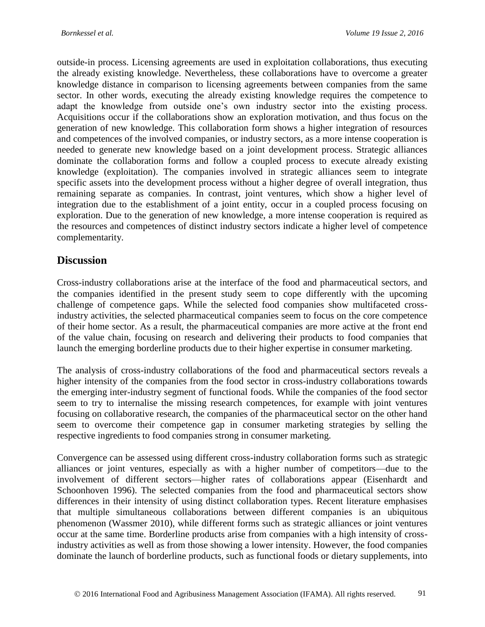outside-in process. Licensing agreements are used in exploitation collaborations, thus executing the already existing knowledge. Nevertheless, these collaborations have to overcome a greater knowledge distance in comparison to licensing agreements between companies from the same sector. In other words, executing the already existing knowledge requires the competence to adapt the knowledge from outside one's own industry sector into the existing process. Acquisitions occur if the collaborations show an exploration motivation, and thus focus on the generation of new knowledge. This collaboration form shows a higher integration of resources and competences of the involved companies, or industry sectors, as a more intense cooperation is needed to generate new knowledge based on a joint development process. Strategic alliances dominate the collaboration forms and follow a coupled process to execute already existing knowledge (exploitation). The companies involved in strategic alliances seem to integrate specific assets into the development process without a higher degree of overall integration, thus remaining separate as companies. In contrast, joint ventures, which show a higher level of integration due to the establishment of a joint entity, occur in a coupled process focusing on exploration. Due to the generation of new knowledge, a more intense cooperation is required as the resources and competences of distinct industry sectors indicate a higher level of competence complementarity.

## **Discussion**

Cross-industry collaborations arise at the interface of the food and pharmaceutical sectors, and the companies identified in the present study seem to cope differently with the upcoming challenge of competence gaps. While the selected food companies show multifaceted crossindustry activities, the selected pharmaceutical companies seem to focus on the core competence of their home sector. As a result, the pharmaceutical companies are more active at the front end of the value chain, focusing on research and delivering their products to food companies that launch the emerging borderline products due to their higher expertise in consumer marketing.

The analysis of cross-industry collaborations of the food and pharmaceutical sectors reveals a higher intensity of the companies from the food sector in cross-industry collaborations towards the emerging inter-industry segment of functional foods. While the companies of the food sector seem to try to internalise the missing research competences, for example with joint ventures focusing on collaborative research, the companies of the pharmaceutical sector on the other hand seem to overcome their competence gap in consumer marketing strategies by selling the respective ingredients to food companies strong in consumer marketing.

Convergence can be assessed using different cross-industry collaboration forms such as strategic alliances or joint ventures, especially as with a higher number of competitors—due to the involvement of different sectors—higher rates of collaborations appear [\(Eisenhardt and](#page-19-7)  [Schoonhoven 1996\)](#page-19-7). The selected companies from the food and pharmaceutical sectors show differences in their intensity of using distinct collaboration types. Recent literature emphasises that multiple simultaneous collaborations between different companies is an ubiquitous phenomenon [\(Wassmer 2010\)](#page-21-12), while different forms such as strategic alliances or joint ventures occur at the same time. Borderline products arise from companies with a high intensity of crossindustry activities as well as from those showing a lower intensity. However, the food companies dominate the launch of borderline products, such as functional foods or dietary supplements, into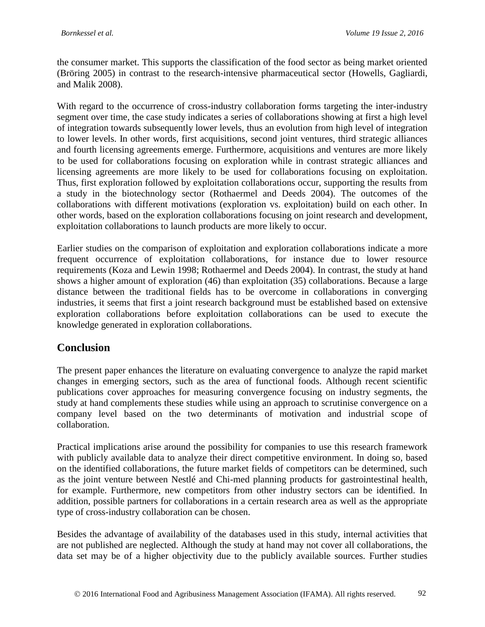the consumer market. This supports the classification of the food sector as being market oriented [\(Bröring 2005\)](#page-18-1) in contrast to the research-intensive pharmaceutical sector [\(Howells, Gagliardi,](#page-20-12)  [and Malik 2008\)](#page-20-12).

With regard to the occurrence of cross-industry collaboration forms targeting the inter-industry segment over time, the case study indicates a series of collaborations showing at first a high level of integration towards subsequently lower levels, thus an evolution from high level of integration to lower levels. In other words, first acquisitions, second joint ventures, third strategic alliances and fourth licensing agreements emerge. Furthermore, acquisitions and ventures are more likely to be used for collaborations focusing on exploration while in contrast strategic alliances and licensing agreements are more likely to be used for collaborations focusing on exploitation. Thus, first exploration followed by exploitation collaborations occur, supporting the results from a study in the biotechnology sector [\(Rothaermel and Deeds 2004\)](#page-21-9). The outcomes of the collaborations with different motivations (exploration vs. exploitation) build on each other. In other words, based on the exploration collaborations focusing on joint research and development, exploitation collaborations to launch products are more likely to occur.

Earlier studies on the comparison of exploitation and exploration collaborations indicate a more frequent occurrence of exploitation collaborations, for instance due to lower resource requirements [\(Koza and Lewin 1998;](#page-20-9) [Rothaermel and Deeds 2004\)](#page-21-9). In contrast, the study at hand shows a higher amount of exploration (46) than exploitation (35) collaborations. Because a large distance between the traditional fields has to be overcome in collaborations in converging industries, it seems that first a joint research background must be established based on extensive exploration collaborations before exploitation collaborations can be used to execute the knowledge generated in exploration collaborations.

### **Conclusion**

The present paper enhances the literature on evaluating convergence to analyze the rapid market changes in emerging sectors, such as the area of functional foods. Although recent scientific publications cover approaches for measuring convergence focusing on industry segments, the study at hand complements these studies while using an approach to scrutinise convergence on a company level based on the two determinants of motivation and industrial scope of collaboration.

Practical implications arise around the possibility for companies to use this research framework with publicly available data to analyze their direct competitive environment. In doing so, based on the identified collaborations, the future market fields of competitors can be determined, such as the joint venture between Nestlé and Chi-med planning products for gastrointestinal health, for example. Furthermore, new competitors from other industry sectors can be identified. In addition, possible partners for collaborations in a certain research area as well as the appropriate type of cross-industry collaboration can be chosen.

Besides the advantage of availability of the databases used in this study, internal activities that are not published are neglected. Although the study at hand may not cover all collaborations, the data set may be of a higher objectivity due to the publicly available sources. Further studies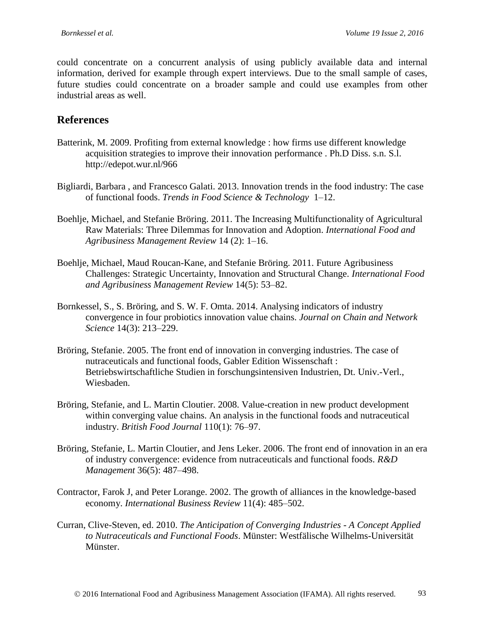could concentrate on a concurrent analysis of using publicly available data and internal information, derived for example through expert interviews. Due to the small sample of cases, future studies could concentrate on a broader sample and could use examples from other industrial areas as well.

### **References**

- <span id="page-18-6"></span>Batterink, M. 2009. Profiting from external knowledge : how firms use different knowledge acquisition strategies to improve their innovation performance . Ph.D Diss. s.n. S.l. http://edepot.wur.nl/966
- <span id="page-18-10"></span>Bigliardi, Barbara , and Francesco Galati. 2013. Innovation trends in the food industry: The case of functional foods. *Trends in Food Science & Technology* 1–12.
- <span id="page-18-8"></span>Boehlje, Michael, and Stefanie Bröring. 2011. The Increasing Multifunctionality of Agricultural Raw Materials: Three Dilemmas for Innovation and Adoption. *International Food and Agribusiness Management Review* 14 (2): 1–16.
- <span id="page-18-3"></span>Boehlje, Michael, Maud Roucan-Kane, and Stefanie Bröring. 2011. Future Agribusiness Challenges: Strategic Uncertainty, Innovation and Structural Change. *International Food and Agribusiness Management Review* 14(5): 53–82.
- <span id="page-18-2"></span>Bornkessel, S., S. Bröring, and S. W. F. Omta. 2014. Analysing indicators of industry convergence in four probiotics innovation value chains. *Journal on Chain and Network Science* 14(3): 213–229.
- <span id="page-18-1"></span>Bröring, Stefanie. 2005. The front end of innovation in converging industries. The case of nutraceuticals and functional foods, Gabler Edition Wissenschaft : Betriebswirtschaftliche Studien in forschungsintensiven Industrien, Dt. Univ.-Verl., Wiesbaden.
- <span id="page-18-9"></span>Bröring, Stefanie, and L. Martin Cloutier. 2008. Value-creation in new product development within converging value chains. An analysis in the functional foods and nutraceutical industry. *British Food Journal* 110(1): 76–97.
- <span id="page-18-5"></span>Bröring, Stefanie, L. Martin Cloutier, and Jens Leker. 2006. The front end of innovation in an era of industry convergence: evidence from nutraceuticals and functional foods. *R&D Management* 36(5): 487–498.
- <span id="page-18-7"></span>Contractor, Farok J, and Peter Lorange. 2002. The growth of alliances in the knowledge-based economy. *International Business Review* 11(4): 485–502.
- <span id="page-18-4"></span><span id="page-18-0"></span>Curran, Clive-Steven, ed. 2010. *The Anticipation of Converging Industries - A Concept Applied to Nutraceuticals and Functional Foods*. Münster: Westfälische Wilhelms-Universität Münster.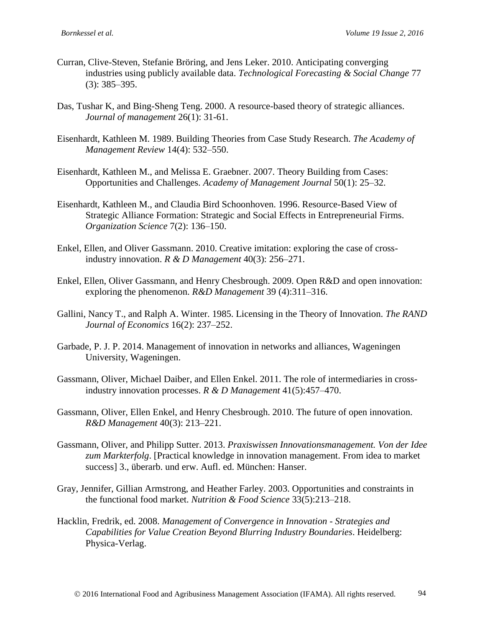- Curran, Clive-Steven, Stefanie Bröring, and Jens Leker. 2010. Anticipating converging industries using publicly available data. *Technological Forecasting & Social Change* 77 (3): 385–395.
- <span id="page-19-8"></span>Das, Tushar K, and Bing-Sheng Teng. 2000. A resource-based theory of strategic alliances. *Journal of management* 26(1): 31-61.
- <span id="page-19-12"></span>Eisenhardt, Kathleen M. 1989. Building Theories from Case Study Research. *The Academy of Management Review* 14(4): 532–550.
- <span id="page-19-13"></span>Eisenhardt, Kathleen M., and Melissa E. Graebner. 2007. Theory Building from Cases: Opportunities and Challenges. *Academy of Management Journal* 50(1): 25–32.
- <span id="page-19-7"></span>Eisenhardt, Kathleen M., and Claudia Bird Schoonhoven. 1996. Resource-Based View of Strategic Alliance Formation: Strategic and Social Effects in Entrepreneurial Firms. *Organization Science* 7(2): 136–150.
- <span id="page-19-1"></span>Enkel, Ellen, and Oliver Gassmann. 2010. Creative imitation: exploring the case of crossindustry innovation. *R & D Management* 40(3): 256–271.
- <span id="page-19-11"></span>Enkel, Ellen, Oliver Gassmann, and Henry Chesbrough. 2009. Open R&D and open innovation: exploring the phenomenon. *R&D Management* 39 (4):311–316.
- <span id="page-19-10"></span>Gallini, Nancy T., and Ralph A. Winter. 1985. Licensing in the Theory of Innovation. *The RAND Journal of Economics* 16(2): 237–252.
- <span id="page-19-9"></span>Garbade, P. J. P. 2014. Management of innovation in networks and alliances, Wageningen University, Wageningen.
- <span id="page-19-2"></span>Gassmann, Oliver, Michael Daiber, and Ellen Enkel. 2011. The role of intermediaries in crossindustry innovation processes. *R & D Management* 41(5):457–470.
- <span id="page-19-6"></span>Gassmann, Oliver, Ellen Enkel, and Henry Chesbrough. 2010. The future of open innovation. *R&D Management* 40(3): 213–221.
- <span id="page-19-5"></span>Gassmann, Oliver, and Philipp Sutter. 2013. *Praxiswissen Innovationsmanagement. Von der Idee zum Markterfolg*. [Practical knowledge in innovation management. From idea to market success] 3., überarb. und erw. Aufl. ed. München: Hanser.
- <span id="page-19-0"></span>Gray, Jennifer, Gillian Armstrong, and Heather Farley. 2003. Opportunities and constraints in the functional food market. *Nutrition & Food Science* 33(5):213–218.
- <span id="page-19-4"></span><span id="page-19-3"></span>Hacklin, Fredrik, ed. 2008. *Management of Convergence in Innovation - Strategies and Capabilities for Value Creation Beyond Blurring Industry Boundaries*. Heidelberg: Physica-Verlag.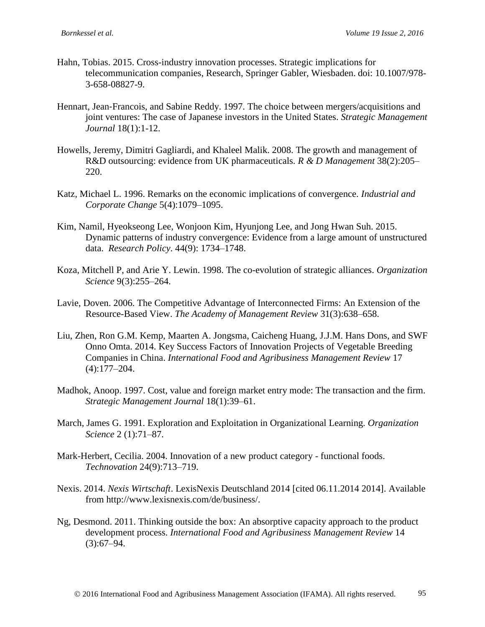- Hahn, Tobias. 2015. Cross-industry innovation processes. Strategic implications for telecommunication companies, Research, Springer Gabler, Wiesbaden. doi: 10.1007/978- 3-658-08827-9.
- <span id="page-20-6"></span>Hennart, Jean‐Francois, and Sabine Reddy. 1997. The choice between mergers/acquisitions and joint ventures: The case of Japanese investors in the United States. *Strategic Management Journal* 18(1):1-12.
- <span id="page-20-12"></span>Howells, Jeremy, Dimitri Gagliardi, and Khaleel Malik. 2008. The growth and management of R&D outsourcing: evidence from UK pharmaceuticals. *R & D Management* 38(2):205– 220.
- <span id="page-20-2"></span>Katz, Michael L. 1996. Remarks on the economic implications of convergence. *Industrial and Corporate Change* 5(4):1079–1095.
- <span id="page-20-3"></span>Kim, Namil, Hyeokseong Lee, Wonjoon Kim, Hyunjong Lee, and Jong Hwan Suh. 2015. Dynamic patterns of industry convergence: Evidence from a large amount of unstructured data. *Research Policy*. 44(9): 1734–1748.
- <span id="page-20-9"></span>Koza, Mitchell P, and Arie Y. Lewin. 1998. The co-evolution of strategic alliances. *Organization Science* 9(3):255–264.
- <span id="page-20-7"></span>Lavie, Doven. 2006. The Competitive Advantage of Interconnected Firms: An Extension of the Resource-Based View. *The Academy of Management Review* 31(3):638–658.
- <span id="page-20-4"></span>Liu, Zhen, Ron G.M. Kemp, Maarten A. Jongsma, Caicheng Huang, J.J.M. Hans Dons, and SWF Onno Omta. 2014. Key Success Factors of Innovation Projects of Vegetable Breeding Companies in China. *International Food and Agribusiness Management Review* 17 (4):177–204.
- <span id="page-20-5"></span>Madhok, Anoop. 1997. Cost, value and foreign market entry mode: The transaction and the firm. *Strategic Management Journal* 18(1):39–61.
- <span id="page-20-8"></span>March, James G. 1991. Exploration and Exploitation in Organizational Learning. *Organization Science* 2 (1):71–87.
- <span id="page-20-0"></span>Mark-Herbert, Cecilia. 2004. Innovation of a new product category - functional foods. *Technovation* 24(9):713–719.
- <span id="page-20-11"></span>Nexis. 2014. *Nexis Wirtschaft*. LexisNexis Deutschland 2014 [cited 06.11.2014 2014]. Available from http://www.lexisnexis.com/de/business/.
- <span id="page-20-10"></span><span id="page-20-1"></span>Ng, Desmond. 2011. Thinking outside the box: An absorptive capacity approach to the product development process. *International Food and Agribusiness Management Review* 14  $(3):67-94.$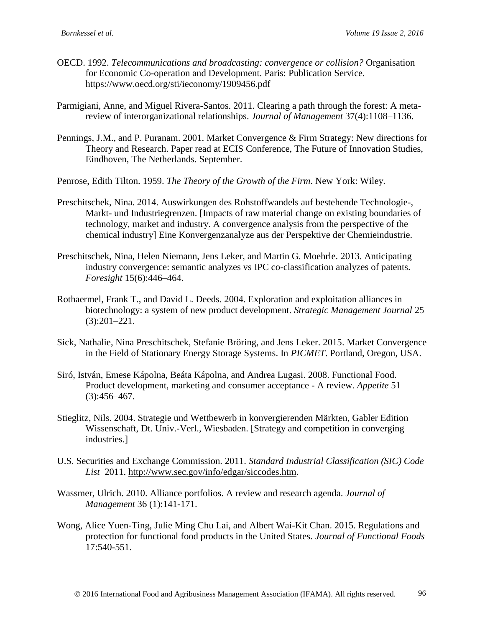- OECD. 1992. *Telecommunications and broadcasting: convergence or collision?* Organisation for Economic Co-operation and Development. Paris: Publication Service. https://www.oecd.org/sti/ieconomy/1909456.pdf
- <span id="page-21-8"></span>Parmigiani, Anne, and Miguel Rivera-Santos. 2011. Clearing a path through the forest: A metareview of interorganizational relationships. *Journal of Management* 37(4):1108–1136.
- <span id="page-21-3"></span>Pennings, J.M., and P. Puranam. 2001. Market Convergence & Firm Strategy: New directions for Theory and Research. Paper read at ECIS Conference, The Future of Innovation Studies, Eindhoven, The Netherlands. September.

<span id="page-21-7"></span><span id="page-21-2"></span>Penrose, Edith Tilton. 1959. *The Theory of the Growth of the Firm*. New York: Wiley.

- Preschitschek, Nina. 2014. Auswirkungen des Rohstoffwandels auf bestehende Technologie-, Markt- und Industriegrenzen. [Impacts of raw material change on existing boundaries of technology, market and industry. A convergence analysis from the perspective of the chemical industry] Eine Konvergenzanalyze aus der Perspektive der Chemieindustrie.
- <span id="page-21-6"></span>Preschitschek, Nina, Helen Niemann, Jens Leker, and Martin G. Moehrle. 2013. Anticipating industry convergence: semantic analyzes vs IPC co-classification analyzes of patents. *Foresight* 15(6):446–464.
- <span id="page-21-9"></span>Rothaermel, Frank T., and David L. Deeds. 2004. Exploration and exploitation alliances in biotechnology: a system of new product development. *Strategic Management Journal* 25 (3):201–221.
- <span id="page-21-5"></span>Sick, Nathalie, Nina Preschitschek, Stefanie Bröring, and Jens Leker. 2015. Market Convergence in the Field of Stationary Energy Storage Systems. In *PICMET*. Portland, Oregon, USA.
- <span id="page-21-0"></span>Siró, István, Emese Kápolna, Beáta Kápolna, and Andrea Lugasi. 2008. Functional Food. Product development, marketing and consumer acceptance - A review. *Appetite* 51  $(3):456-467.$
- <span id="page-21-4"></span>Stieglitz, Nils. 2004. Strategie und Wettbewerb in konvergierenden Märkten, Gabler Edition Wissenschaft, Dt. Univ.-Verl., Wiesbaden. [Strategy and competition in converging industries.]
- <span id="page-21-11"></span>U.S. Securities and Exchange Commission. 2011. *Standard Industrial Classification (SIC) Code List* 2011. [http://www.sec.gov/info/edgar/siccodes.htm.](http://www.sec.gov/info/edgar/siccodes.htm)
- <span id="page-21-12"></span>Wassmer, Ulrich. 2010. Alliance portfolios. A review and research agenda. *Journal of Management* 36 (1):141-171.
- <span id="page-21-10"></span><span id="page-21-1"></span>Wong, Alice Yuen-Ting, Julie Ming Chu Lai, and Albert Wai-Kit Chan. 2015. Regulations and protection for functional food products in the United States. *Journal of Functional Foods* 17:540-551.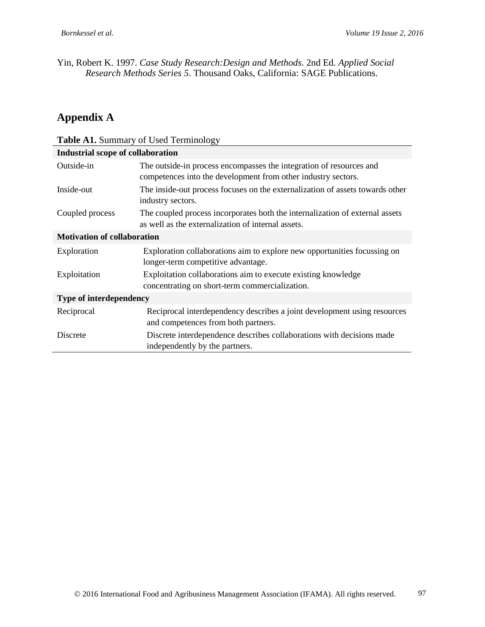Yin, Robert K. 1997. *Case Study Research:Design and Methods*. 2nd Ed. *Applied Social Research Methods Series 5*. Thousand Oaks, California: SAGE Publications.

# **Appendix A**

<span id="page-22-0"></span>

| <b>Table A1.</b> Summary of Used Terminology |                                                                                                                                      |  |
|----------------------------------------------|--------------------------------------------------------------------------------------------------------------------------------------|--|
| <b>Industrial scope of collaboration</b>     |                                                                                                                                      |  |
| Outside-in                                   | The outside-in process encompasses the integration of resources and<br>competences into the development from other industry sectors. |  |
| Inside-out                                   | The inside-out process focuses on the externalization of assets towards other<br>industry sectors.                                   |  |
| Coupled process                              | The coupled process incorporates both the internalization of external assets<br>as well as the externalization of internal assets.   |  |
| <b>Motivation of collaboration</b>           |                                                                                                                                      |  |
| Exploration                                  | Exploration collaborations aim to explore new opportunities focussing on<br>longer-term competitive advantage.                       |  |
| Exploitation                                 | Exploitation collaborations aim to execute existing knowledge<br>concentrating on short-term commercialization.                      |  |
| <b>Type of interdependency</b>               |                                                                                                                                      |  |
| Reciprocal                                   | Reciprocal interdependency describes a joint development using resources<br>and competences from both partners.                      |  |
| Discrete                                     | Discrete interdependence describes collaborations with decisions made<br>independently by the partners.                              |  |